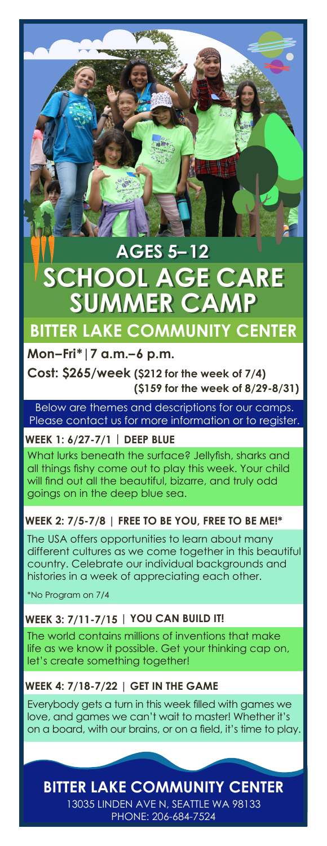# **SUMMER CA AGES 5–12 AGES 5–12 SCHOOL AGE CARE SCHOOL AGE CARE**

# **BITTER LAKE COMMUNITY CENTER**

# **Mon–Fri\*|7 a.m.–6 p.m.**

**Cost: \$265/week (\$212 for the week of 7/4) (\$159 for the week of 8/29-8/31)**

Below are themes and descriptions for our camps. Please contact us for more information or to register.

# **WEEK 1: 6/27-7/1 | DEEP BLUE**

What lurks beneath the surface? Jellyfish, sharks and all things fishy come out to play this week. Your child will find out all the beautiful, bizarre, and truly odd goings on in the deep blue sea.

# **WEEK 2: 7/5-7/8 | FREE TO BE YOU, FREE TO BE ME!\***

The USA offers opportunities to learn about many different cultures as we come together in this beautiful country. Celebrate our individual backgrounds and histories in a week of appreciating each other.

\*No Program on 7/4

# **WEEK 3: 7/11-7/15 | YOU CAN BUILD IT!**

The world contains millions of inventions that make life as we know it possible. Get your thinking cap on, let's create something together!

# **WEEK 4: 7/18-7/22 | GET IN THE GAME**

Everybody gets a turn in this week filled with games we love, and games we can't wait to master! Whether it's on a board, with our brains, or on a field, it's time to play.

**BITTER LAKE COMMUNITY CENTER**

13035 LINDEN AVE N, SEATTLE WA 98133 PHONE: 206-684-7524